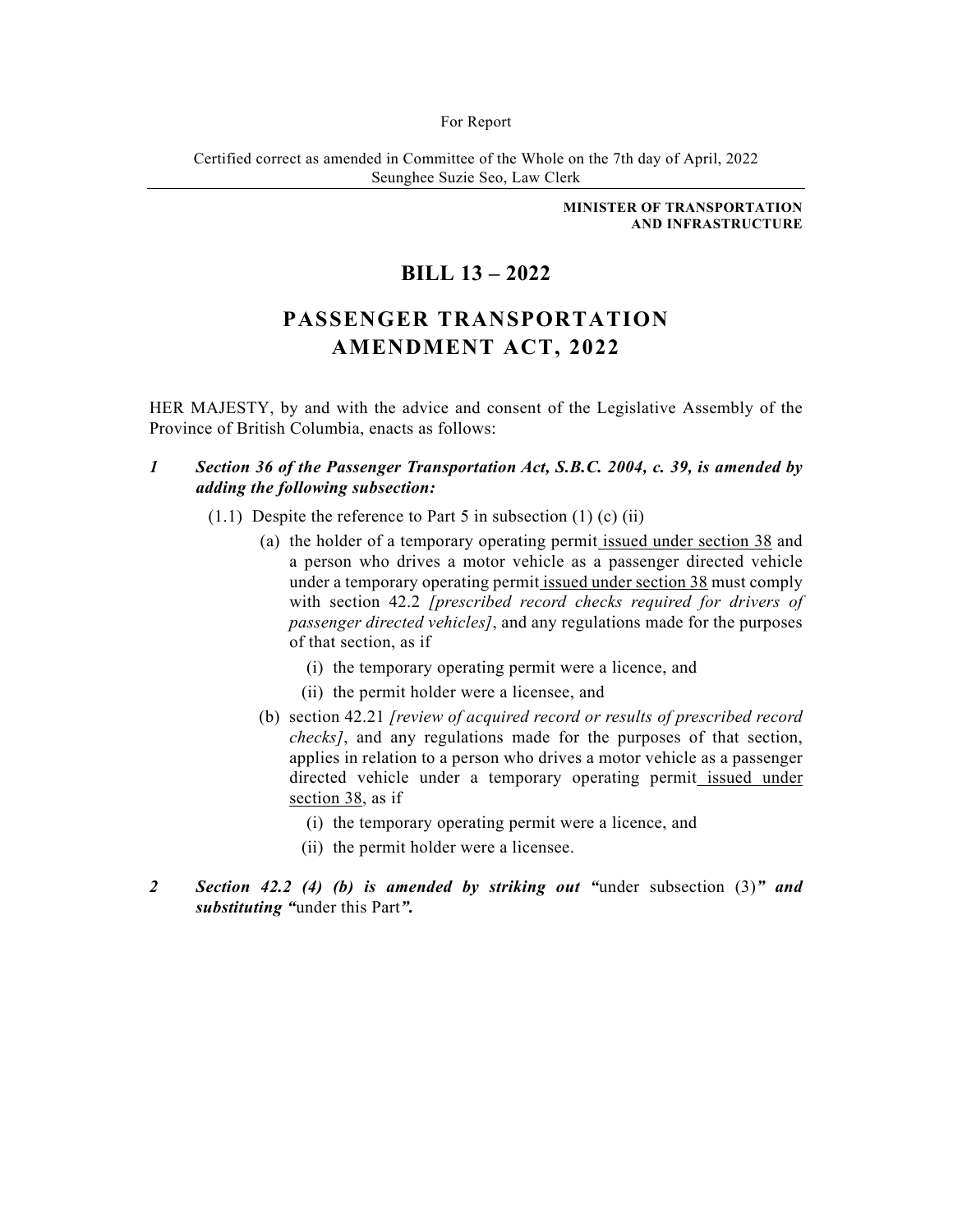#### For Report

Certified correct as amended in Committee of the Whole on the 7th day of April, 2022 Seunghee Suzie Seo, Law Clerk

> **MINISTER OF TRANSPORTATION AND INFRASTRUCTURE**

# **BILL 13 – 2022**

# **PASSENGER TRANSPORTATION AMENDMENT ACT, 2022**

HER MAJESTY, by and with the advice and consent of the Legislative Assembly of the Province of British Columbia, enacts as follows:

- *1 Section 36 of the Passenger Transportation Act, S.B.C. 2004, c. 39, is amended by adding the following subsection:* 
	- $(1.1)$  Despite the reference to Part 5 in subsection  $(1)$   $(c)$   $(ii)$ 
		- (a) the holder of a temporary operating permit issued under section 38 and a person who drives a motor vehicle as a passenger directed vehicle under a temporary operating permit issued under section 38 must comply with section 42.2 *[prescribed record checks required for drivers of passenger directed vehicles]*, and any regulations made for the purposes of that section, as if
			- (i) the temporary operating permit were a licence, and
			- (ii) the permit holder were a licensee, and
		- (b) section 42.21 *[review of acquired record or results of prescribed record checks]*, and any regulations made for the purposes of that section, applies in relation to a person who drives a motor vehicle as a passenger directed vehicle under a temporary operating permit issued under section 38, as if
			- (i) the temporary operating permit were a licence, and
			- (ii) the permit holder were a licensee.
- *2 Section 42.2 (4) (b) is amended by striking out "*under subsection (3)*" and substituting "*under this Part*".*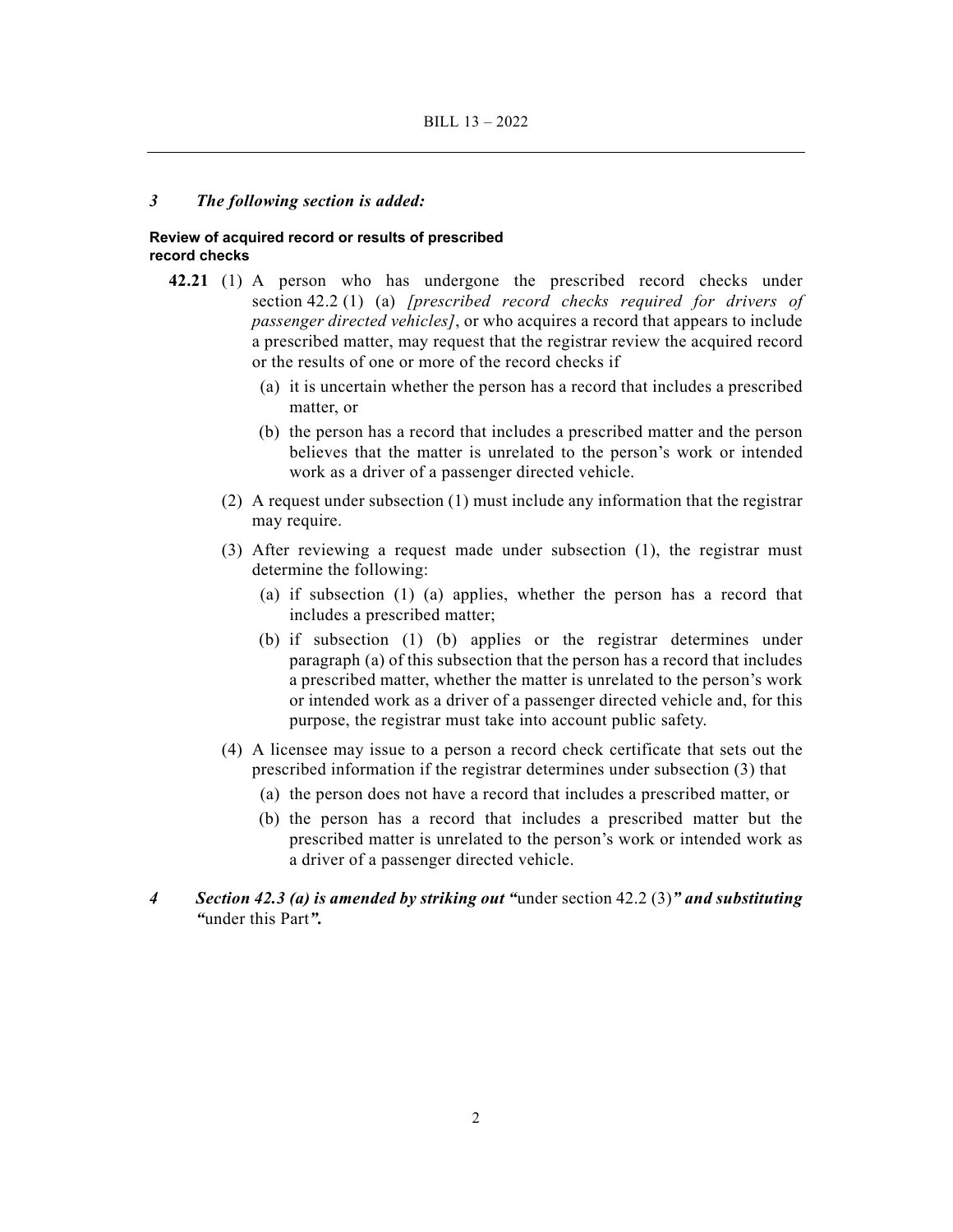#### *3 The following section is added:*

#### **Review of acquired record or results of prescribed record checks**

- **42.21** (1) A person who has undergone the prescribed record checks under section 42.2 (1) (a) *[prescribed record checks required for drivers of passenger directed vehicles]*, or who acquires a record that appears to include a prescribed matter, may request that the registrar review the acquired record or the results of one or more of the record checks if
	- (a) it is uncertain whether the person has a record that includes a prescribed matter, or
	- (b) the person has a record that includes a prescribed matter and the person believes that the matter is unrelated to the person's work or intended work as a driver of a passenger directed vehicle.
	- (2) A request under subsection (1) must include any information that the registrar may require.
	- (3) After reviewing a request made under subsection (1), the registrar must determine the following:
		- (a) if subsection (1) (a) applies, whether the person has a record that includes a prescribed matter;
		- (b) if subsection (1) (b) applies or the registrar determines under paragraph (a) of this subsection that the person has a record that includes a prescribed matter, whether the matter is unrelated to the person's work or intended work as a driver of a passenger directed vehicle and, for this purpose, the registrar must take into account public safety.
	- (4) A licensee may issue to a person a record check certificate that sets out the prescribed information if the registrar determines under subsection (3) that
		- (a) the person does not have a record that includes a prescribed matter, or
		- (b) the person has a record that includes a prescribed matter but the prescribed matter is unrelated to the person's work or intended work as a driver of a passenger directed vehicle.
- *4 Section 42.3 (a) is amended by striking out "*under section 42.2 (3)*" and substituting "*under this Part*".*